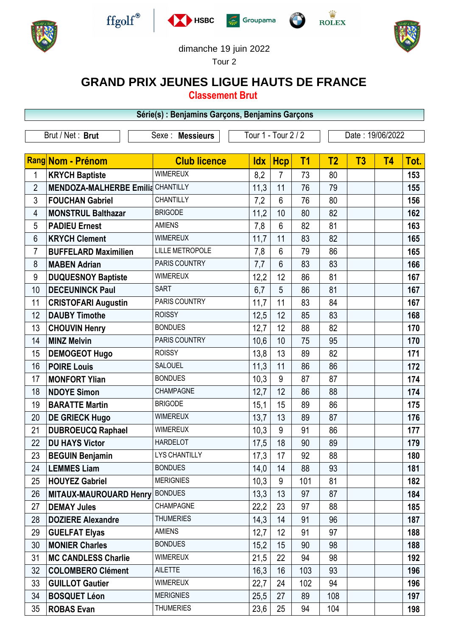











dimanche 19 juin 2022

Tour 2

## **GRAND PRIX JEUNES LIGUE HAUTS DE FRANCE**

**Classement Brut**

|                  |                                          | Série(s) : Benjamins Garçons, Benjamins Garçons |                     |                |                |                  |    |           |      |
|------------------|------------------------------------------|-------------------------------------------------|---------------------|----------------|----------------|------------------|----|-----------|------|
| Brut / Net: Brut |                                          | Sexe : Messieurs                                | Tour 1 - Tour 2 / 2 |                |                | Date: 19/06/2022 |    |           |      |
|                  |                                          |                                                 |                     |                |                |                  |    |           |      |
|                  | Rang Nom - Prénom                        | <b>Club licence</b>                             | <b>Idx</b>          | <b>Hcp</b>     | T <sub>1</sub> | T <sub>2</sub>   | T3 | <b>T4</b> | Tot. |
| 1                | <b>KRYCH Baptiste</b>                    | <b>WIMEREUX</b>                                 | 8,2                 | 7              | 73             | 80               |    |           | 153  |
| $\overline{2}$   | <b>MENDOZA-MALHERBE Emilia CHANTILLY</b> |                                                 | 11,3                | 11             | 76             | 79               |    |           | 155  |
| 3                | <b>FOUCHAN Gabriel</b>                   | CHANTILLY                                       | 7,2                 | $6\phantom{1}$ | 76             | 80               |    |           | 156  |
| 4                | <b>MONSTRUL Balthazar</b>                | <b>BRIGODE</b>                                  | 11,2                | 10             | 80             | 82               |    |           | 162  |
| 5                | <b>PADIEU Ernest</b>                     | <b>AMIENS</b>                                   | 7,8                 | $6\phantom{1}$ | 82             | 81               |    |           | 163  |
| 6                | <b>KRYCH Clement</b>                     | <b>WIMEREUX</b>                                 | 11,7                | 11             | 83             | 82               |    |           | 165  |
| 7                | <b>BUFFELARD Maximilien</b>              | <b>LILLE METROPOLE</b>                          | 7,8                 | $6\phantom{1}$ | 79             | 86               |    |           | 165  |
| 8                | <b>MABEN Adrian</b>                      | PARIS COUNTRY                                   | 7,7                 | $6\phantom{1}$ | 83             | 83               |    |           | 166  |
| 9                | <b>DUQUESNOY Baptiste</b>                | <b>WIMEREUX</b>                                 | 12,2                | 12             | 86             | 81               |    |           | 167  |
| 10               | <b>DECEUNINCK Paul</b>                   | <b>SART</b>                                     | 6,7                 | 5              | 86             | 81               |    |           | 167  |
| 11               | <b>CRISTOFARI Augustin</b>               | PARIS COUNTRY                                   | 11,7                | 11             | 83             | 84               |    |           | 167  |
| 12               | <b>DAUBY Timothe</b>                     | <b>ROISSY</b>                                   | 12,5                | 12             | 85             | 83               |    |           | 168  |
| 13               | <b>CHOUVIN Henry</b>                     | <b>BONDUES</b>                                  | 12,7                | 12             | 88             | 82               |    |           | 170  |
| 14               | <b>MINZ Melvin</b>                       | PARIS COUNTRY                                   | 10,6                | 10             | 75             | 95               |    |           | 170  |
| 15               | <b>DEMOGEOT Hugo</b>                     | <b>ROISSY</b>                                   | 13,8                | 13             | 89             | 82               |    |           | 171  |
| 16               | <b>POIRE Louis</b>                       | <b>SALOUEL</b>                                  | 11,3                | 11             | 86             | 86               |    |           | 172  |
| 17               | <b>MONFORT Ylian</b>                     | <b>BONDUES</b>                                  | 10,3                | 9              | 87             | 87               |    |           | 174  |
| 18               | <b>NDOYE Simon</b>                       | CHAMPAGNE                                       | 12,7                | 12             | 86             | 88               |    |           | 174  |
| 19               | <b>BARATTE Martin</b>                    | <b>BRIGODE</b>                                  | 15,1                | 15             | 89             | 86               |    |           | 175  |
| 20               | <b>DE GRIECK Hugo</b>                    | <b>WIMEREUX</b>                                 | 13,7                | 13             | 89             | 87               |    |           | 176  |
| 21               | <b>DUBROEUCQ Raphael</b>                 | <b>WIMEREUX</b>                                 | 10,3                | 9              | 91             | 86               |    |           | 177  |
| 22               | <b>DU HAYS Victor</b>                    | <b>HARDELOT</b>                                 | 17,5                | 18             | 90             | 89               |    |           | 179  |
| 23               | <b>BEGUIN Benjamin</b>                   | <b>LYS CHANTILLY</b>                            | 17,3                | 17             | 92             | 88               |    |           | 180  |
| 24               | <b>LEMMES Liam</b>                       | <b>BONDUES</b>                                  | 14,0                | 14             | 88             | 93               |    |           | 181  |
| 25               | <b>HOUYEZ Gabriel</b>                    | <b>MERIGNIES</b>                                | 10,3                | 9              | 101            | 81               |    |           | 182  |
| 26               | <b>MITAUX-MAUROUARD Henry</b>            | <b>BONDUES</b>                                  | 13,3                | 13             | 97             | 87               |    |           | 184  |
| 27               | <b>DEMAY Jules</b>                       | <b>CHAMPAGNE</b>                                | 22,2                | 23             | 97             | 88               |    |           | 185  |
| 28               | <b>DOZIERE Alexandre</b>                 | <b>THUMERIES</b>                                | 14,3                | 14             | 91             | 96               |    |           | 187  |
| 29               | <b>GUELFAT Elyas</b>                     | <b>AMIENS</b>                                   | 12,7                | 12             | 91             | 97               |    |           | 188  |
| 30               | <b>MONIER Charles</b>                    | <b>BONDUES</b>                                  | 15,2                | 15             | 90             | 98               |    |           | 188  |
| 31               | <b>MC CANDLESS Charlie</b>               | <b>WIMEREUX</b>                                 | 21,5                | 22             | 94             | 98               |    |           | 192  |
| 32               | <b>COLOMBERO Clément</b>                 | <b>AILETTE</b>                                  | 16,3                | 16             | 103            | 93               |    |           | 196  |
| 33               | <b>GUILLOT Gautier</b>                   | <b>WIMEREUX</b>                                 | 22,7                | 24             | 102            | 94               |    |           | 196  |
| 34               | <b>BOSQUET Léon</b>                      | <b>MERIGNIES</b>                                | 25,5                | 27             | 89             | 108              |    |           | 197  |
| 35               | <b>ROBAS Evan</b>                        | <b>THUMERIES</b>                                | 23,6                | 25             | 94             | 104              |    |           | 198  |